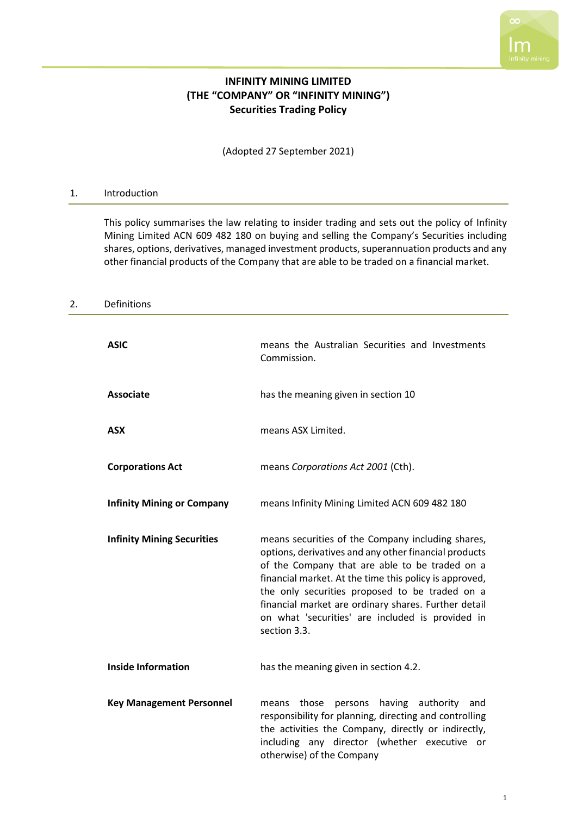# **INFINITY MINING LIMITED (THE "COMPANY" OR "INFINITY MINING") Securities Trading Policy**

(Adopted 27 September 2021)

#### 1. Introduction

This policy summarises the law relating to insider trading and sets out the policy of Infinity Mining Limited ACN 609 482 180 on buying and selling the Company's Securities including shares, options, derivatives, managed investment products, superannuation products and any other financial products of the Company that are able to be traded on a financial market.

### 2. Definitions

| <b>ASIC</b>                       | means the Australian Securities and Investments<br>Commission.                                                                                                                                                                                                                                                                                                                                       |
|-----------------------------------|------------------------------------------------------------------------------------------------------------------------------------------------------------------------------------------------------------------------------------------------------------------------------------------------------------------------------------------------------------------------------------------------------|
| <b>Associate</b>                  | has the meaning given in section 10                                                                                                                                                                                                                                                                                                                                                                  |
| <b>ASX</b>                        | means ASX Limited.                                                                                                                                                                                                                                                                                                                                                                                   |
| <b>Corporations Act</b>           | means Corporations Act 2001 (Cth).                                                                                                                                                                                                                                                                                                                                                                   |
| <b>Infinity Mining or Company</b> | means Infinity Mining Limited ACN 609 482 180                                                                                                                                                                                                                                                                                                                                                        |
| <b>Infinity Mining Securities</b> | means securities of the Company including shares,<br>options, derivatives and any other financial products<br>of the Company that are able to be traded on a<br>financial market. At the time this policy is approved,<br>the only securities proposed to be traded on a<br>financial market are ordinary shares. Further detail<br>on what 'securities' are included is provided in<br>section 3.3. |
| <b>Inside Information</b>         | has the meaning given in section 4.2.                                                                                                                                                                                                                                                                                                                                                                |
| <b>Key Management Personnel</b>   | those persons having authority<br>and<br>means<br>responsibility for planning, directing and controlling<br>the activities the Company, directly or indirectly,<br>including any director (whether executive or<br>otherwise) of the Company                                                                                                                                                         |

 $\infty$ 

Ιm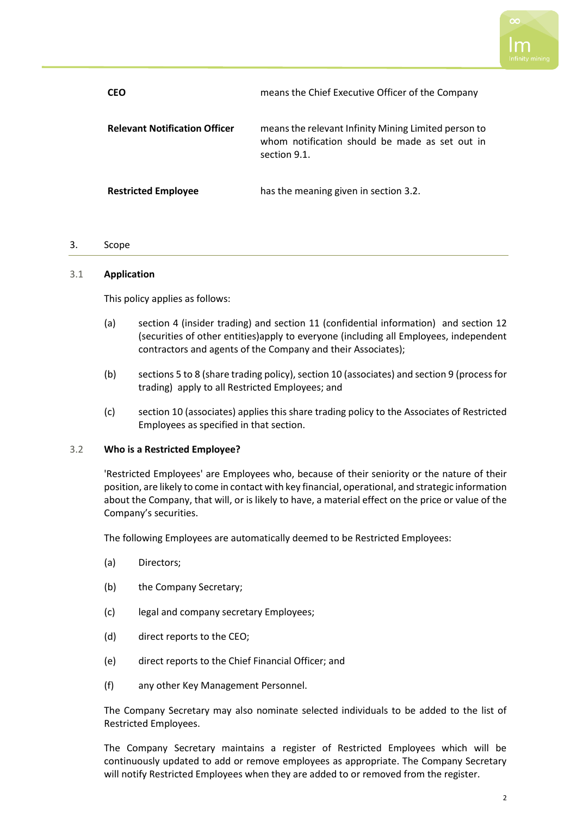| <b>CEO</b>                           | means the Chief Executive Officer of the Company                                                                       |
|--------------------------------------|------------------------------------------------------------------------------------------------------------------------|
| <b>Relevant Notification Officer</b> | means the relevant Infinity Mining Limited person to<br>whom notification should be made as set out in<br>section 9.1. |
| <b>Restricted Employee</b>           | has the meaning given in section 3.2.                                                                                  |

## 3. Scope

### 3.1 **Application**

This policy applies as follows:

- (a) section [4](#page-2-1) (insider trading) and section [11](#page-9-0) (confidential information) and section [12](#page-9-1) (securities of other entities)apply to everyone (including all Employees, independent contractors and agents of the Company and their Associates);
- (b) section[s 5](#page-4-0) to [8](#page-6-0) (share trading policy), section [10](#page-8-0) (associates) and sectio[n 9](#page-7-1) (process for trading) apply to all Restricted Employees; and
- (c) sectio[n 10](#page-8-0) (associates) applies this share trading policy to the Associates of Restricted Employees as specified in that section.

### <span id="page-1-0"></span>3.2 **Who is a Restricted Employee?**

'Restricted Employees' are Employees who, because of their seniority or the nature of their position, are likely to come in contact with key financial, operational, and strategic information about the Company, that will, or is likely to have, a material effect on the price or value of the Company's securities.

The following Employees are automatically deemed to be Restricted Employees:

- (a) Directors;
- (b) the Company Secretary;
- (c) legal and company secretary Employees;
- (d) direct reports to the CEO;
- (e) direct reports to the Chief Financial Officer; and
- (f) any other Key Management Personnel.

The Company Secretary may also nominate selected individuals to be added to the list of Restricted Employees.

The Company Secretary maintains a register of Restricted Employees which will be continuously updated to add or remove employees as appropriate. The Company Secretary will notify Restricted Employees when they are added to or removed from the register.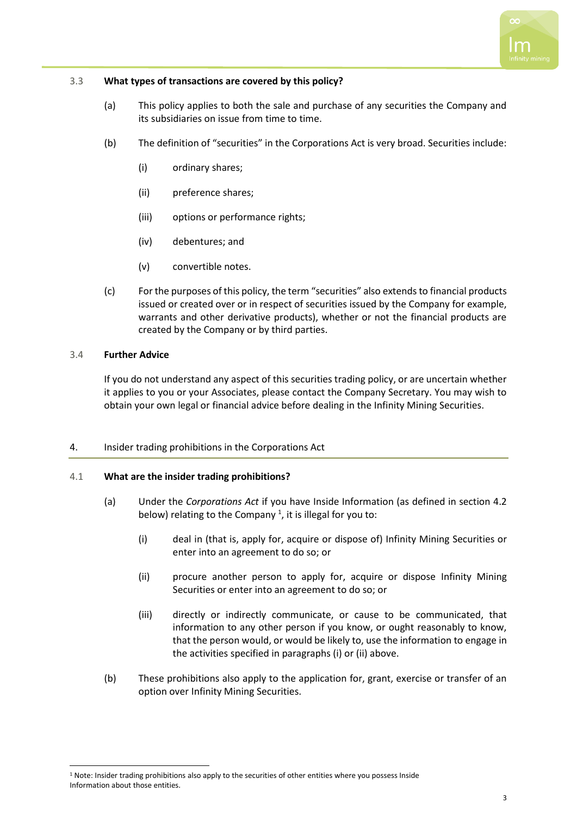### <span id="page-2-0"></span>3.3 **What types of transactions are covered by this policy?**

- (a) This policy applies to both the sale and purchase of any securities the Company and its subsidiaries on issue from time to time.
- (b) The definition of "securities" in the Corporations Act is very broad. Securities include:
	- (i) ordinary shares;
	- (ii) preference shares;
	- (iii) options or performance rights;
	- (iv) debentures; and
	- (v) convertible notes.
- (c) For the purposes of this policy, the term "securities" also extends to financial products issued or created over or in respect of securities issued by the Company for example, warrants and other derivative products), whether or not the financial products are created by the Company or by third parties.

### 3.4 **Further Advice**

If you do not understand any aspect of this securities trading policy, or are uncertain whether it applies to you or your Associates, please contact the Company Secretary. You may wish to obtain your own legal or financial advice before dealing in the Infinity Mining Securities.

# <span id="page-2-1"></span>4. Insider trading prohibitions in the Corporations Act

### 4.1 **What are the insider trading prohibitions?**

- (a) Under the *Corporations Act* if you have Inside Information (as defined in section [4.2](#page-3-0) below) relating to the Company<sup>1</sup>, it is illegal for you to:
	- (i) deal in (that is, apply for, acquire or dispose of) Infinity Mining Securities or enter into an agreement to do so; or
	- (ii) procure another person to apply for, acquire or dispose Infinity Mining Securities or enter into an agreement to do so; or
	- (iii) directly or indirectly communicate, or cause to be communicated, that information to any other person if you know, or ought reasonably to know, that the person would, or would be likely to, use the information to engage in the activities specified in paragraphs (i) or (ii) above.
- (b) These prohibitions also apply to the application for, grant, exercise or transfer of an option over Infinity Mining Securities.

 $1$  Note: Insider trading prohibitions also apply to the securities of other entities where you possess Inside Information about those entities.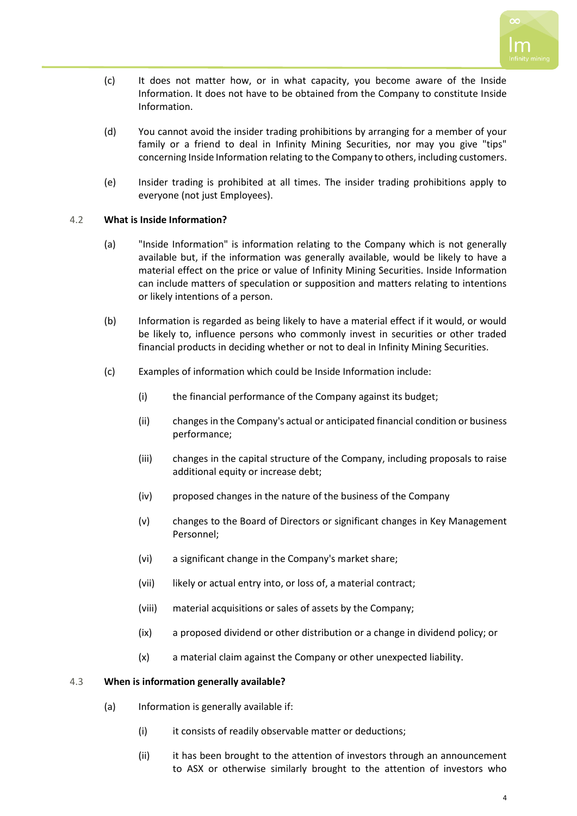- (c) It does not matter how, or in what capacity, you become aware of the Inside Information. It does not have to be obtained from the Company to constitute Inside Information.
- (d) You cannot avoid the insider trading prohibitions by arranging for a member of your family or a friend to deal in Infinity Mining Securities, nor may you give "tips" concerning Inside Information relating to the Company to others, including customers.
- (e) Insider trading is prohibited at all times. The insider trading prohibitions apply to everyone (not just Employees).

# <span id="page-3-0"></span>4.2 **What is Inside Information?**

- (a) "Inside Information" is information relating to the Company which is not generally available but, if the information was generally available, would be likely to have a material effect on the price or value of Infinity Mining Securities. Inside Information can include matters of speculation or supposition and matters relating to intentions or likely intentions of a person.
- (b) Information is regarded as being likely to have a material effect if it would, or would be likely to, influence persons who commonly invest in securities or other traded financial products in deciding whether or not to deal in Infinity Mining Securities.
- (c) Examples of information which could be Inside Information include:
	- (i) the financial performance of the Company against its budget;
	- (ii) changes in the Company's actual or anticipated financial condition or business performance;
	- (iii) changes in the capital structure of the Company, including proposals to raise additional equity or increase debt;
	- (iv) proposed changes in the nature of the business of the Company
	- (v) changes to the Board of Directors or significant changes in Key Management Personnel;
	- (vi) a significant change in the Company's market share;
	- (vii) likely or actual entry into, or loss of, a material contract;
	- (viii) material acquisitions or sales of assets by the Company;
	- (ix) a proposed dividend or other distribution or a change in dividend policy; or
	- (x) a material claim against the Company or other unexpected liability.

### 4.3 **When is information generally available?**

- (a) Information is generally available if:
	- (i) it consists of readily observable matter or deductions;
	- (ii) it has been brought to the attention of investors through an announcement to ASX or otherwise similarly brought to the attention of investors who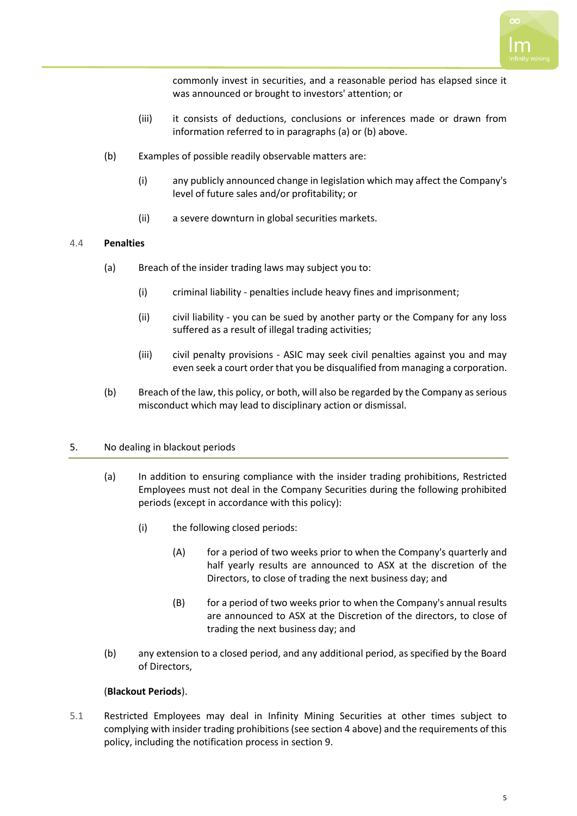commonly invest in securities, and a reasonable period has elapsed since it was announced or brought to investors' attention; or

- (iii) it consists of deductions, conclusions or inferences made or drawn from information referred to in paragraphs (a) or (b) above.
- (b) Examples of possible readily observable matters are:
	- (i) any publicly announced change in legislation which may affect the Company's level of future sales and/or profitability; or
	- (ii) a severe downturn in global securities markets.

## 4.4 **Penalties**

- (a) Breach of the insider trading laws may subject you to:
	- (i) criminal liability penalties include heavy fines and imprisonment;
	- (ii) civil liability you can be sued by another party or the Company for any loss suffered as a result of illegal trading activities;
	- (iii) civil penalty provisions ASIC may seek civil penalties against you and may even seek a court order that you be disqualified from managing a corporation.
- (b) Breach of the law, this policy, or both, will also be regarded by the Company as serious misconduct which may lead to disciplinary action or dismissal.

# <span id="page-4-0"></span>5. No dealing in blackout periods

- (a) In addition to ensuring compliance with the insider trading prohibitions, Restricted Employees must not deal in the Company Securities during the following prohibited periods (except in accordance with this policy):
	- (i) the following closed periods:
		- (A) for a period of two weeks prior to when the Company's quarterly and half yearly results are announced to ASX at the discretion of the Directors, to close of trading the next business day; and
		- (B) for a period of two weeks prior to when the Company's annual results are announced to ASX at the Discretion of the directors, to close of trading the next business day; and
- (b) any extension to a closed period, and any additional period, as specified by the Board of Directors,

# (**Blackout Periods**).

5.1 Restricted Employees may deal in Infinity Mining Securities at other times subject to complying with insider trading prohibitions (see section [4](#page-2-1) above) and the requirements of this policy, including the notification process in section [9.](#page-7-1)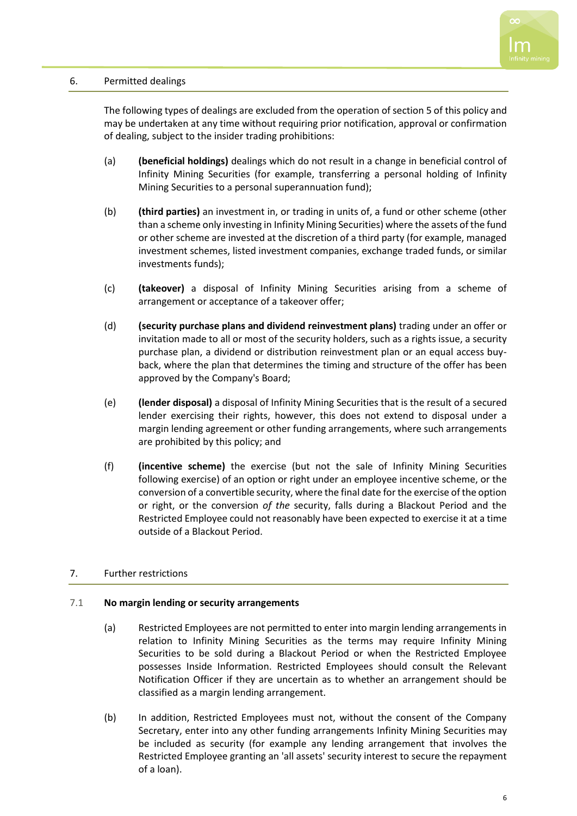

## <span id="page-5-0"></span>6. Permitted dealings

The following types of dealings are excluded from the operation of section [5](#page-4-0) of this policy and may be undertaken at any time without requiring prior notification, approval or confirmation of dealing, subject to the insider trading prohibitions:

- (a) **(beneficial holdings)** dealings which do not result in a change in beneficial control of Infinity Mining Securities (for example, transferring a personal holding of Infinity Mining Securities to a personal superannuation fund);
- (b) **(third parties)** an investment in, or trading in units of, a fund or other scheme (other than a scheme only investing in Infinity Mining Securities) where the assets of the fund or other scheme are invested at the discretion of a third party (for example, managed investment schemes, listed investment companies, exchange traded funds, or similar investments funds);
- (c) **(takeover)** a disposal of Infinity Mining Securities arising from a scheme of arrangement or acceptance of a takeover offer;
- (d) **(security purchase plans and dividend reinvestment plans)** trading under an offer or invitation made to all or most of the security holders, such as a rights issue, a security purchase plan, a dividend or distribution reinvestment plan or an equal access buyback, where the plan that determines the timing and structure of the offer has been approved by the Company's Board;
- (e) **(lender disposal)** a disposal of Infinity Mining Securities that is the result of a secured lender exercising their rights, however, this does not extend to disposal under a margin lending agreement or other funding arrangements, where such arrangements are prohibited by this policy; and
- (f) **(incentive scheme)** the exercise (but not the sale of Infinity Mining Securities following exercise) of an option or right under an employee incentive scheme, or the conversion of a convertible security, where the final date for the exercise of the option or right, or the conversion *of the* security, falls during a Blackout Period and the Restricted Employee could not reasonably have been expected to exercise it at a time outside of a Blackout Period.

### 7. Further restrictions

### 7.1 **No margin lending or security arrangements**

- (a) Restricted Employees are not permitted to enter into margin lending arrangements in relation to Infinity Mining Securities as the terms may require Infinity Mining Securities to be sold during a Blackout Period or when the Restricted Employee possesses Inside Information. Restricted Employees should consult the Relevant Notification Officer if they are uncertain as to whether an arrangement should be classified as a margin lending arrangement.
- (b) In addition, Restricted Employees must not, without the consent of the Company Secretary, enter into any other funding arrangements Infinity Mining Securities may be included as security (for example any lending arrangement that involves the Restricted Employee granting an 'all assets' security interest to secure the repayment of a loan).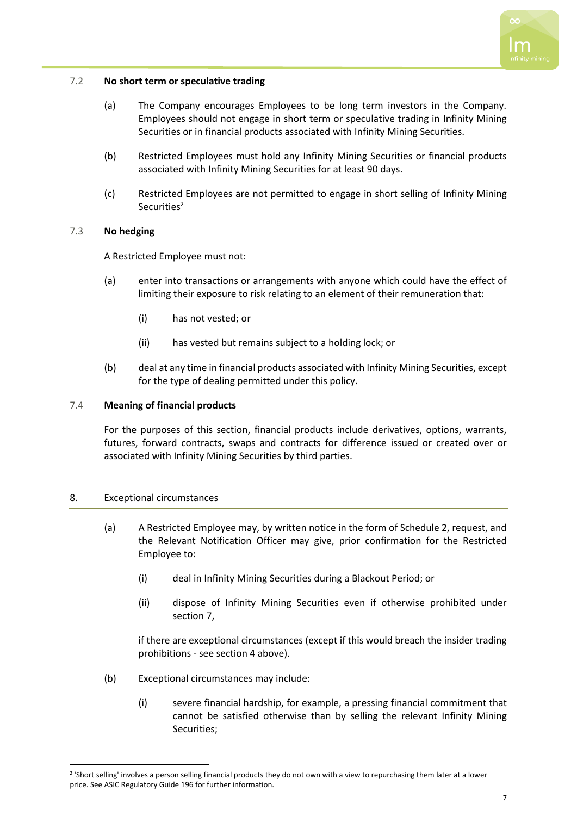## 7.2 **No short term or speculative trading**

- (a) The Company encourages Employees to be long term investors in the Company. Employees should not engage in short term or speculative trading in Infinity Mining Securities or in financial products associated with Infinity Mining Securities.
- (b) Restricted Employees must hold any Infinity Mining Securities or financial products associated with Infinity Mining Securities for at least 90 days.
- (c) Restricted Employees are not permitted to engage in short selling of Infinity Mining Securities<sup>2</sup>

# 7.3 **No hedging**

A Restricted Employee must not:

- (a) enter into transactions or arrangements with anyone which could have the effect of limiting their exposure to risk relating to an element of their remuneration that:
	- (i) has not vested; or
	- (ii) has vested but remains subject to a holding lock; or
- (b) deal at any time in financial products associated with Infinity Mining Securities, except for the type of dealing permitted under this policy.

## 7.4 **Meaning of financial products**

For the purposes of this section, financial products include derivatives, options, warrants, futures, forward contracts, swaps and contracts for difference issued or created over or associated with Infinity Mining Securities by third parties.

### <span id="page-6-0"></span>8. Exceptional circumstances

- (a) A Restricted Employee may, by written notice in the form of Schedule 2, request, and the Relevant Notification Officer may give, prior confirmation for the Restricted Employee to:
	- (i) deal in Infinity Mining Securities during a Blackout Period; or
	- (ii) dispose of Infinity Mining Securities even if otherwise prohibited under section 7,

if there are exceptional circumstances (except if this would breach the insider trading prohibitions - see section [4](#page-2-1) above).

- (b) Exceptional circumstances may include:
	- (i) severe financial hardship, for example, a pressing financial commitment that cannot be satisfied otherwise than by selling the relevant Infinity Mining Securities;

<sup>2</sup> 'Short selling' involves a person selling financial products they do not own with a view to repurchasing them later at a lower price. See ASIC Regulatory Guide 196 for further information.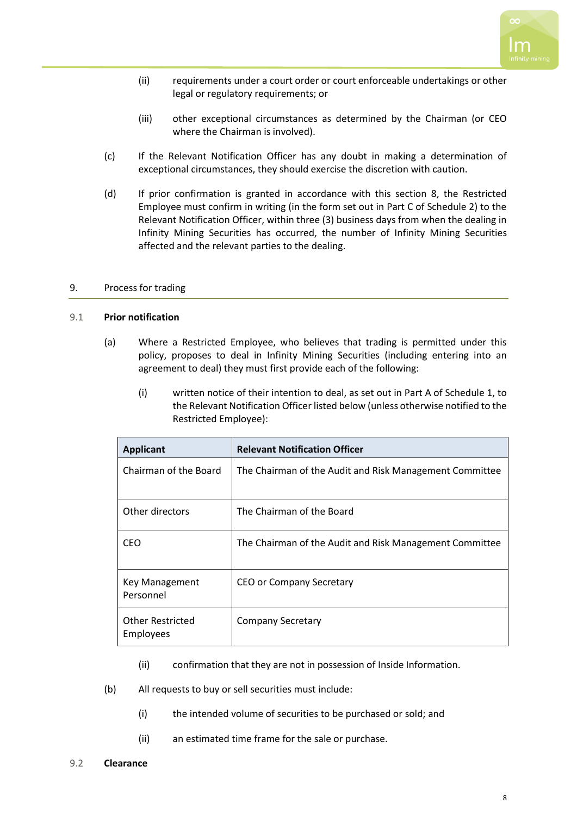

- (ii) requirements under a court order or court enforceable undertakings or other legal or regulatory requirements; or
- (iii) other exceptional circumstances as determined by the Chairman (or CEO where the Chairman is involved).
- (c) If the Relevant Notification Officer has any doubt in making a determination of exceptional circumstances, they should exercise the discretion with caution.
- (d) If prior confirmation is granted in accordance with this section 8, the Restricted Employee must confirm in writing (in the form set out in Part C of Schedule 2) to the Relevant Notification Officer, within three (3) business days from when the dealing in Infinity Mining Securities has occurred, the number of Infinity Mining Securities affected and the relevant parties to the dealing.

### <span id="page-7-1"></span>9. Process for trading

### <span id="page-7-0"></span>9.1 **Prior notification**

- (a) Where a Restricted Employee, who believes that trading is permitted under this policy, proposes to deal in Infinity Mining Securities (including entering into an agreement to deal) they must first provide each of the following:
	- (i) written notice of their intention to deal, as set out in Part A of Schedule 1, to the Relevant Notification Officer listed below (unless otherwise notified to the Restricted Employee):

| <b>Applicant</b>                            | <b>Relevant Notification Officer</b>                    |
|---------------------------------------------|---------------------------------------------------------|
| Chairman of the Board                       | The Chairman of the Audit and Risk Management Committee |
| Other directors                             | The Chairman of the Board                               |
| CEO                                         | The Chairman of the Audit and Risk Management Committee |
| Key Management<br>Personnel                 | CEO or Company Secretary                                |
| <b>Other Restricted</b><br><b>Employees</b> | <b>Company Secretary</b>                                |

- (ii) confirmation that they are not in possession of Inside Information.
- (b) All requests to buy or sell securities must include:
	- (i) the intended volume of securities to be purchased or sold; and
	- (ii) an estimated time frame for the sale or purchase.
- 9.2 **Clearance**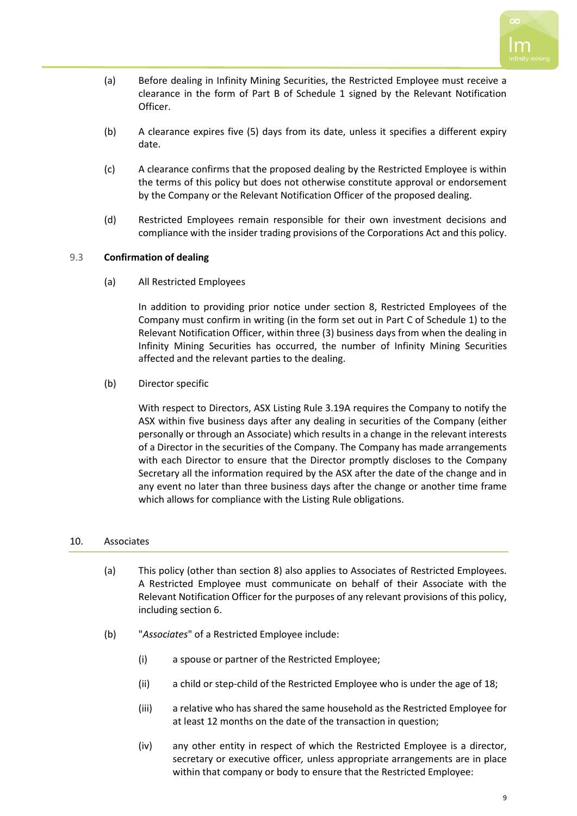- (a) Before dealing in Infinity Mining Securities, the Restricted Employee must receive a clearance in the form of Part B of Schedule 1 signed by the Relevant Notification Officer.
- (b) A clearance expires five (5) days from its date, unless it specifies a different expiry date.
- (c) A clearance confirms that the proposed dealing by the Restricted Employee is within the terms of this policy but does not otherwise constitute approval or endorsement by the Company or the Relevant Notification Officer of the proposed dealing.
- (d) Restricted Employees remain responsible for their own investment decisions and compliance with the insider trading provisions of the Corporations Act and this policy.

# 9.3 **Confirmation of dealing**

(a) All Restricted Employees

In addition to providing prior notice under section 8, Restricted Employees of the Company must confirm in writing (in the form set out in Part C of Schedule 1) to the Relevant Notification Officer, within three (3) business days from when the dealing in Infinity Mining Securities has occurred, the number of Infinity Mining Securities affected and the relevant parties to the dealing.

(b) Director specific

With respect to Directors, ASX Listing Rule 3.19A requires the Company to notify the ASX within five business days after any dealing in securities of the Company (either personally or through an Associate) which results in a change in the relevant interests of a Director in the securities of the Company. The Company has made arrangements with each Director to ensure that the Director promptly discloses to the Company Secretary all the information required by the ASX after the date of the change and in any event no later than three business days after the change or another time frame which allows for compliance with the Listing Rule obligations.

### <span id="page-8-0"></span>10. Associates

- (a) This policy (other than section [8\)](#page-6-0) also applies to Associates of Restricted Employees. A Restricted Employee must communicate on behalf of their Associate with the Relevant Notification Officer for the purposes of any relevant provisions of this policy, including sectio[n 6.](#page-5-0)
- (b) "*Associates*" of a Restricted Employee include:
	- (i) a spouse or partner of the Restricted Employee;
	- (ii) a child or step-child of the Restricted Employee who is under the age of 18;
	- (iii) a relative who has shared the same household as the Restricted Employee for at least 12 months on the date of the transaction in question;
	- (iv) any other entity in respect of which the Restricted Employee is a director, secretary or executive officer*,* unless appropriate arrangements are in place within that company or body to ensure that the Restricted Employee: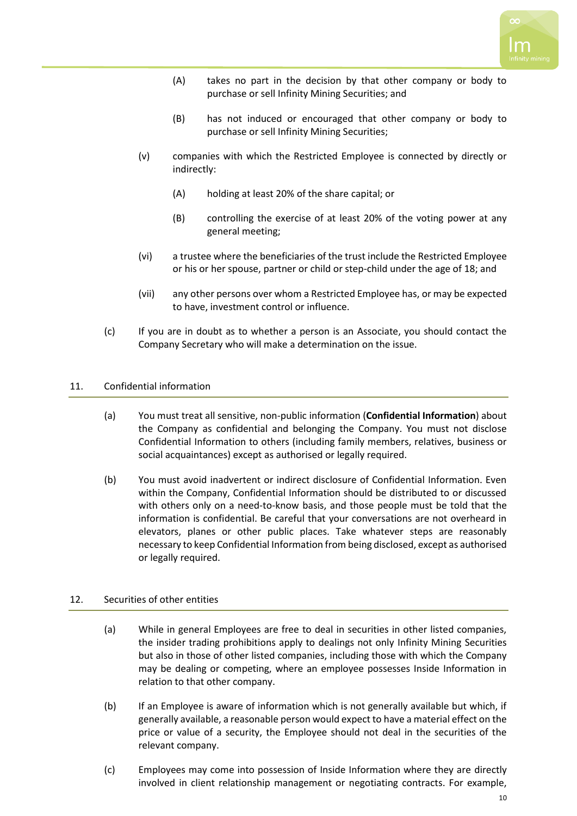- (A) takes no part in the decision by that other company or body to purchase or sell Infinity Mining Securities; and
- (B) has not induced or encouraged that other company or body to purchase or sell Infinity Mining Securities;
- (v) companies with which the Restricted Employee is connected by directly or indirectly:
	- (A) holding at least 20% of the share capital; or
	- (B) controlling the exercise of at least 20% of the voting power at any general meeting;
- (vi) a trustee where the beneficiaries of the trust include the Restricted Employee or his or her spouse, partner or child or step-child under the age of 18; and
- (vii) any other persons over whom a Restricted Employee has, or may be expected to have, investment control or influence.
- (c) If you are in doubt as to whether a person is an Associate, you should contact the Company Secretary who will make a determination on the issue.

## <span id="page-9-0"></span>11. Confidential information

- (a) You must treat all sensitive, non-public information (**Confidential Information**) about the Company as confidential and belonging the Company. You must not disclose Confidential Information to others (including family members, relatives, business or social acquaintances) except as authorised or legally required.
- (b) You must avoid inadvertent or indirect disclosure of Confidential Information. Even within the Company, Confidential Information should be distributed to or discussed with others only on a need-to-know basis, and those people must be told that the information is confidential. Be careful that your conversations are not overheard in elevators, planes or other public places. Take whatever steps are reasonably necessary to keep Confidential Information from being disclosed, except as authorised or legally required.

# <span id="page-9-1"></span>12. Securities of other entities

- (a) While in general Employees are free to deal in securities in other listed companies, the insider trading prohibitions apply to dealings not only Infinity Mining Securities but also in those of other listed companies, including those with which the Company may be dealing or competing, where an employee possesses Inside Information in relation to that other company.
- (b) If an Employee is aware of information which is not generally available but which, if generally available, a reasonable person would expect to have a material effect on the price or value of a security, the Employee should not deal in the securities of the relevant company.
- (c) Employees may come into possession of Inside Information where they are directly involved in client relationship management or negotiating contracts. For example,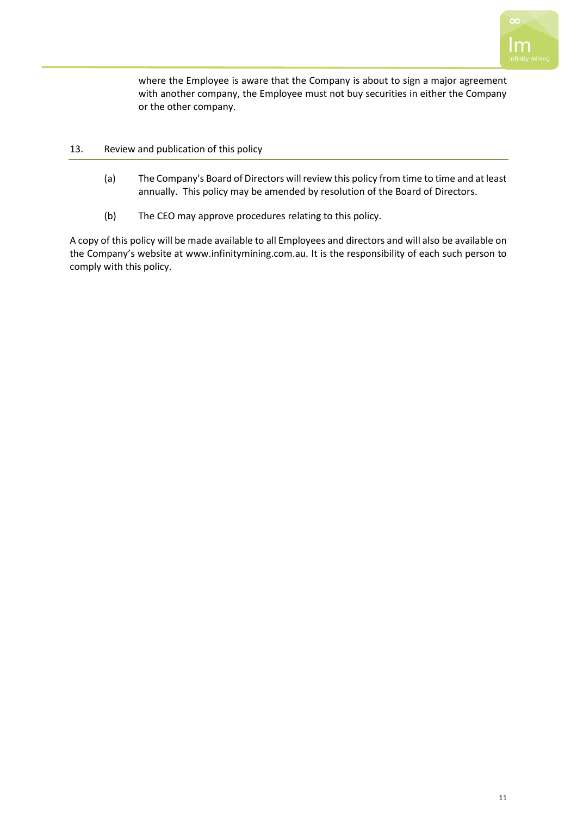

where the Employee is aware that the Company is about to sign a major agreement with another company, the Employee must not buy securities in either the Company or the other company.

### 13. Review and publication of this policy

- (a) The Company's Board of Directors will review this policy from time to time and at least annually. This policy may be amended by resolution of the Board of Directors.
- (b) The CEO may approve procedures relating to this policy.

A copy of this policy will be made available to all Employees and directors and will also be available on the Company's website at www.infinitymining.com.au. It is the responsibility of each such person to comply with this policy.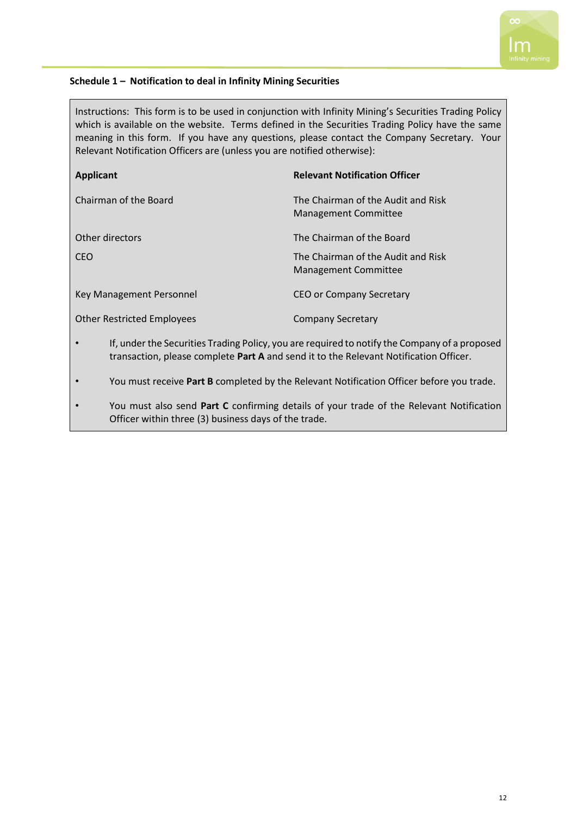## **Schedule 1 – Notification to deal in Infinity Mining Securities**

Instructions: This form is to be used in conjunction with Infinity Mining's Securities Trading Policy which is available on the website. Terms defined in the Securities Trading Policy have the same meaning in this form. If you have any questions, please contact the Company Secretary. Your Relevant Notification Officers are (unless you are notified otherwise):

| <b>Applicant</b>                  | <b>Relevant Notification Officer</b>                       |
|-----------------------------------|------------------------------------------------------------|
| Chairman of the Board             | The Chairman of the Audit and Risk<br>Management Committee |
| Other directors                   | The Chairman of the Board                                  |
| <b>CEO</b>                        | The Chairman of the Audit and Risk<br>Management Committee |
| Key Management Personnel          | CEO or Company Secretary                                   |
| <b>Other Restricted Employees</b> | <b>Company Secretary</b>                                   |

- If, under the Securities Trading Policy, you are required to notify the Company of a proposed transaction, please complete **Part A** and send it to the Relevant Notification Officer.
- You must receive **Part B** completed by the Relevant Notification Officer before you trade.
- You must also send **Part C** confirming details of your trade of the Relevant Notification Officer within three (3) business days of the trade.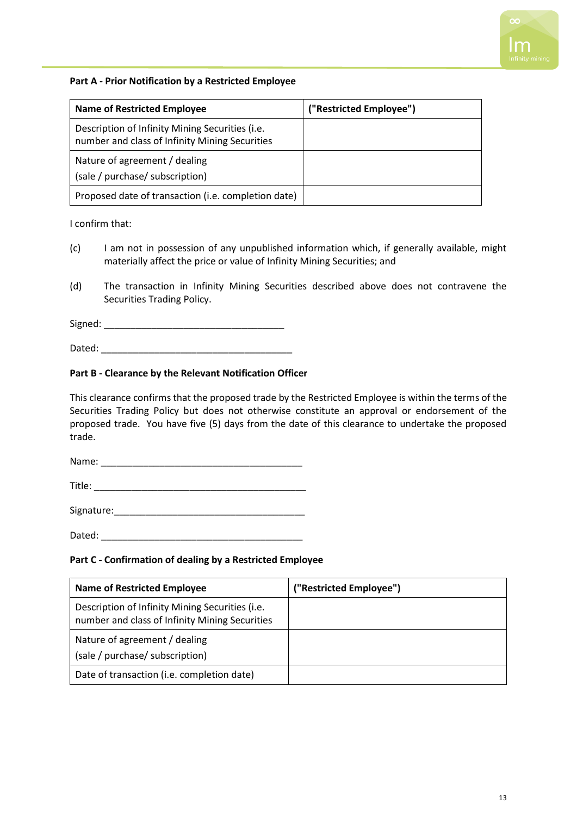## **Part A - Prior Notification by a Restricted Employee**

| <b>Name of Restricted Employee</b>                                                                | ("Restricted Employee") |
|---------------------------------------------------------------------------------------------------|-------------------------|
| Description of Infinity Mining Securities (i.e.<br>number and class of Infinity Mining Securities |                         |
| Nature of agreement / dealing<br>(sale / purchase/ subscription)                                  |                         |
| Proposed date of transaction (i.e. completion date)                                               |                         |

I confirm that:

- (c) I am not in possession of any unpublished information which, if generally available, might materially affect the price or value of Infinity Mining Securities; and
- (d) The transaction in Infinity Mining Securities described above does not contravene the Securities Trading Policy.

Signed:  $\Box$ 

Dated: \_\_\_\_\_\_\_\_\_\_\_\_\_\_\_\_\_\_\_\_\_\_\_\_\_\_\_\_\_\_\_\_\_\_\_\_

### **Part B - Clearance by the Relevant Notification Officer**

This clearance confirms that the proposed trade by the Restricted Employee is within the terms of the Securities Trading Policy but does not otherwise constitute an approval or endorsement of the proposed trade. You have five (5) days from the date of this clearance to undertake the proposed trade.

Name:

Title: \_\_\_\_\_\_\_\_\_\_\_\_\_\_\_\_\_\_\_\_\_\_\_\_\_\_\_\_\_\_\_\_\_\_\_\_\_\_\_\_

Signature:\_\_\_\_\_\_\_\_\_\_\_\_\_\_\_\_\_\_\_\_\_\_\_\_\_\_\_\_\_\_\_\_\_\_\_\_

Dated:  $\Box$ 

#### **Part C - Confirmation of dealing by a Restricted Employee**

| <b>Name of Restricted Employee</b>                                                                | ("Restricted Employee") |
|---------------------------------------------------------------------------------------------------|-------------------------|
| Description of Infinity Mining Securities (i.e.<br>number and class of Infinity Mining Securities |                         |
| Nature of agreement / dealing<br>(sale / purchase/ subscription)                                  |                         |
| Date of transaction (i.e. completion date)                                                        |                         |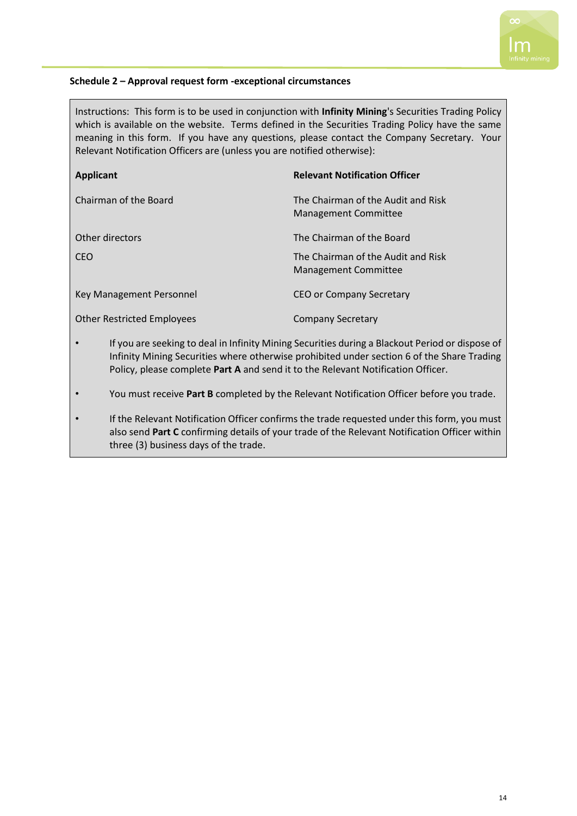## **Schedule 2 – Approval request form -exceptional circumstances**

Instructions: This form is to be used in conjunction with **Infinity Mining**'s Securities Trading Policy which is available on the website. Terms defined in the Securities Trading Policy have the same meaning in this form. If you have any questions, please contact the Company Secretary. Your Relevant Notification Officers are (unless you are notified otherwise):

| <b>Applicant</b>                  | <b>Relevant Notification Officer</b>                              |
|-----------------------------------|-------------------------------------------------------------------|
| Chairman of the Board             | The Chairman of the Audit and Risk<br><b>Management Committee</b> |
| Other directors                   | The Chairman of the Board                                         |
| CEO                               | The Chairman of the Audit and Risk<br><b>Management Committee</b> |
| Key Management Personnel          | CEO or Company Secretary                                          |
| <b>Other Restricted Employees</b> | Company Secretary                                                 |

- If you are seeking to deal in Infinity Mining Securities during a Blackout Period or dispose of Infinity Mining Securities where otherwise prohibited under section 6 of the Share Trading Policy, please complete **Part A** and send it to the Relevant Notification Officer.
- You must receive **Part B** completed by the Relevant Notification Officer before you trade.
- If the Relevant Notification Officer confirms the trade requested under this form, you must also send **Part C** confirming details of your trade of the Relevant Notification Officer within three (3) business days of the trade.